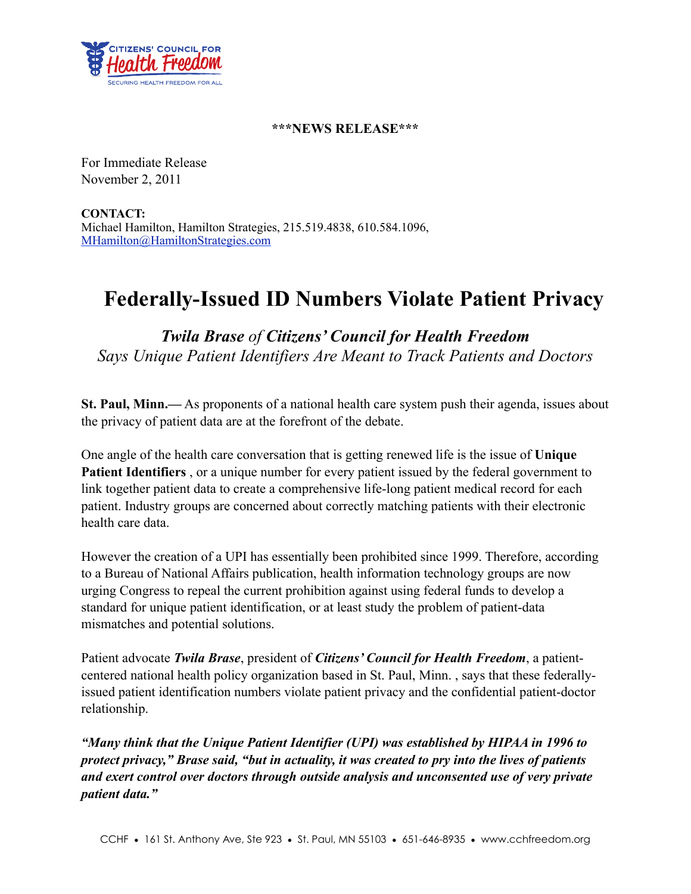

## **\*\*\*NEWS RELEASE\*\*\***

For Immediate Release November 2, 2011

**CONTACT:** Michael Hamilton, Hamilton Strategies, 215.519.4838, 610.584.1096, [MHamilton@HamiltonStrategies.com](mailto:MHamilton@HamiltonStrategies.com)

## **Federally-Issued ID Numbers Violate Patient Privacy**

*Twila Brase of Citizens' Council for Health Freedom Says Unique Patient Identifiers Are Meant to Track Patients and Doctors*

**St. Paul, Minn.—** As proponents of a national health care system push their agenda, issues about the privacy of patient data are at the forefront of the debate.

One angle of the health care conversation that is getting renewed life is the issue of **Unique Patient Identifiers** , or a unique number for every patient issued by the federal government to link together patient data to create a comprehensive life-long patient medical record for each patient. Industry groups are concerned about correctly matching patients with their electronic health care data.

However the creation of a UPI has essentially been prohibited since 1999. Therefore, according to a Bureau of National Affairs publication, health information technology groups are now urging Congress to repeal the current prohibition against using federal funds to develop a standard for unique patient identification, or at least study the problem of patient-data mismatches and potential solutions.

Patient advocate *Twila Brase*, president of *Citizens' Council for Health Freedom*, a patientcentered national health policy organization based in St. Paul, Minn. , says that these federallyissued patient identification numbers violate patient privacy and the confidential patient-doctor relationship.

*"Many think that the Unique Patient Identifier (UPI) was established by HIPAA in 1996 to protect privacy," Brase said, "but in actuality, it was created to pry into the lives of patients and exert control over doctors through outside analysis and unconsented use of very private patient data."*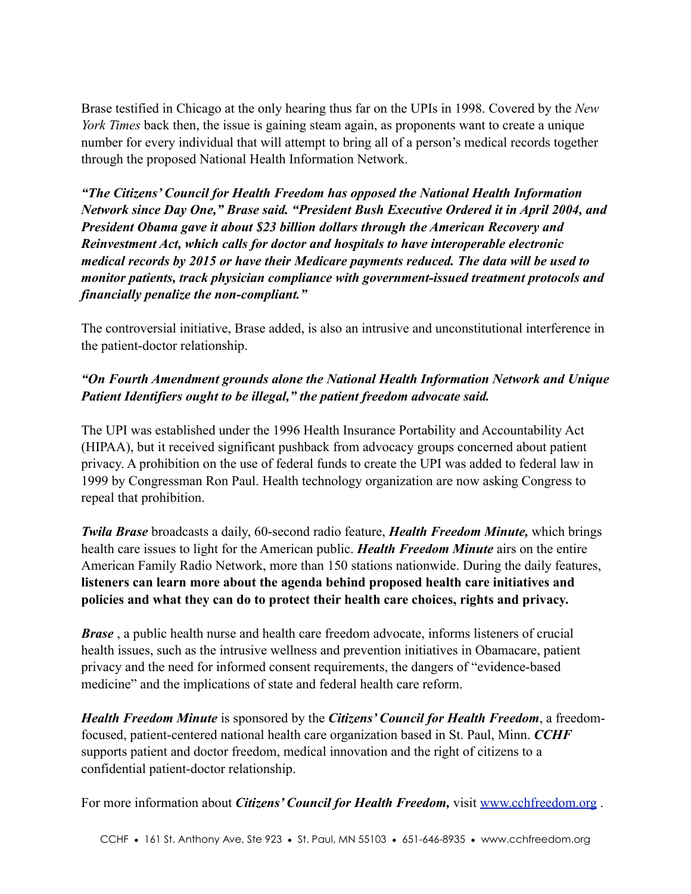Brase testified in Chicago at the only hearing thus far on the UPIs in 1998. Covered by the *New York Times* back then, the issue is gaining steam again, as proponents want to create a unique number for every individual that will attempt to bring all of a person's medical records together through the proposed National Health Information Network.

*"The Citizens' Council for Health Freedom has opposed the National Health Information Network since Day One," Brase said. "President Bush Executive Ordered it in April 2004, and President Obama gave it about \$23 billion dollars through the American Recovery and Reinvestment Act, which calls for doctor and hospitals to have interoperable electronic medical records by 2015 or have their Medicare payments reduced. The data will be used to monitor patients, track physician compliance with government-issued treatment protocols and financially penalize the non-compliant."*

The controversial initiative, Brase added, is also an intrusive and unconstitutional interference in the patient-doctor relationship.

## *"On Fourth Amendment grounds alone the National Health Information Network and Unique Patient Identifiers ought to be illegal," the patient freedom advocate said.*

The UPI was established under the 1996 Health Insurance Portability and Accountability Act (HIPAA), but it received significant pushback from advocacy groups concerned about patient privacy. A prohibition on the use of federal funds to create the UPI was added to federal law in 1999 by Congressman Ron Paul. Health technology organization are now asking Congress to repeal that prohibition.

*Twila Brase* broadcasts a daily, 60-second radio feature, *Health Freedom Minute,* which brings health care issues to light for the American public. *Health Freedom Minute* airs on the entire American Family Radio Network, more than 150 stations nationwide. During the daily features, **listeners can learn more about the agenda behind proposed health care initiatives and policies and what they can do to protect their health care choices, rights and privacy.**

*Brase* , a public health nurse and health care freedom advocate, informs listeners of crucial health issues, such as the intrusive wellness and prevention initiatives in Obamacare, patient privacy and the need for informed consent requirements, the dangers of "evidence-based medicine" and the implications of state and federal health care reform.

*Health Freedom Minute* is sponsored by the *Citizens' Council for Health Freedom*, a freedomfocused, patient-centered national health care organization based in St. Paul, Minn. *CCHF* supports patient and doctor freedom, medical innovation and the right of citizens to a confidential patient-doctor relationship.

For more information about *Citizens' Council for Health Freedom,* visit [www.cchfreedom.org](http://www.cchfreedom.org/) .